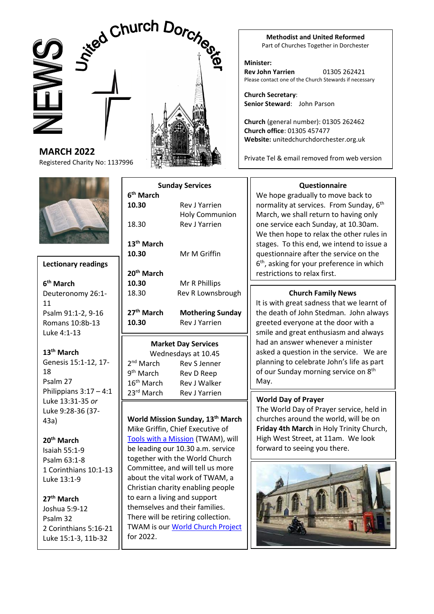# Jived Church





Registered Charity No: 1137996

**MARCH 2022**



### **Lectionary readings**

**6 th March** Deuteronomy 26:1- 11 Psalm 91:1-2, 9-16 Romans 10:8b-13 Luke 4:1-13

## **13th March**

Genesis 15:1-12, 17- 18 Psalm 27 Philippians  $3:17 - 4:1$ Luke 13:31-35 *or* Luke 9:28-36 (37- 43a)

# **20th March**

Isaiah 55:1-9 Psalm 63:1-8 1 Corinthians 10:1-13 Luke 13:1-9

# **27th March** Joshua 5:9-12 Psalm 32

2 Corinthians 5:16-21 Luke 15:1-3, 11b-32

| <b>Sunday Services</b>          |                                               |                        |              |
|---------------------------------|-----------------------------------------------|------------------------|--------------|
| 6 <sup>th</sup> March           |                                               |                        |              |
| 10.30                           | <b>Rev J Yarrien</b>                          |                        |              |
| 18.30<br>13 <sup>th</sup> March | <b>Holy Communion</b><br><b>Rev J Yarrien</b> |                        |              |
|                                 |                                               | 10.30                  | Mr M Griffin |
|                                 |                                               | 20 <sup>th</sup> March |              |
| 10.30                           | Mr R Phillips                                 |                        |              |
| 18.30                           | Rev R Lownsbrough                             |                        |              |
| 27 <sup>th</sup> March          | <b>Mothering Sunday</b>                       |                        |              |
| 10.30                           | <b>Rev J Yarrien</b>                          |                        |              |
|                                 | <b>Market Day Services</b>                    |                        |              |
|                                 | Wednesdays at 10.45                           |                        |              |
| 2 <sup>nd</sup> March           | Rev S Jenner                                  |                        |              |
| 9 <sup>th</sup> March           | Rev D Reep                                    |                        |              |
| 16 <sup>th</sup> March          | Rev J Walker                                  |                        |              |
| 23rd March                      | <b>Rev J Yarrien</b>                          |                        |              |
|                                 |                                               |                        |              |

**World Mission Sunday, 13th March**  Mike Griffin, Chief Executive of [Tools with a Mission](https://www.twam.uk/) (TWAM), will be leading our 10.30 a.m. service together with the World Church Committee, and will tell us more about the vital work of TWAM, a Christian charity enabling people to earn a living and support themselves and their families. There will be retiring collection. TWAM is ou[r World Church Project](https://unitedchurchdorchester.org.uk/world-mission.html) for 2022.

#### **Methodist and United Reformed** Part of Churches Together in Dorchester

**Minister: Rev John Yarrien** 01305 262421 Please contact one of the Church Stewards if necessary

**Church Secretary**: **Senior Steward**: John Parson

**Church** (general number): 01305 262462 **Church office**: 01305 457477 **Website:** unitedchurchdorchester.org.uk

Private Tel & email removed from web version

## **Questionnaire**

We hope gradually to move back to normality at services. From Sunday, 6<sup>th</sup> March, we shall return to having only one service each Sunday, at 10.30am. We then hope to relax the other rules in stages. To this end, we intend to issue a questionnaire after the service on the 6 th, asking for your preference in which restrictions to relax first.

# **Church Family News**

It is with great sadness that we learnt of the death of John Stedman. John always greeted everyone at the door with a smile and great enthusiasm and always had an answer whenever a minister asked a question in the service. We are planning to celebrate John's life as part of our Sunday morning service on 8<sup>th</sup> May.

# **World Day of Prayer**

The World Day of Prayer service, held in churches around the world, will be on **Friday 4th March** in Holy Trinity Church, High West Street, at 11am. We look forward to seeing you there.

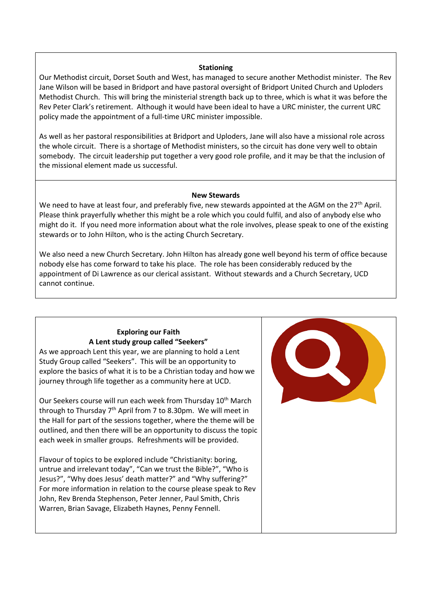#### **Stationing**

Our Methodist circuit, Dorset South and West, has managed to secure another Methodist minister. The Rev Jane Wilson will be based in Bridport and have pastoral oversight of Bridport United Church and Uploders Methodist Church. This will bring the ministerial strength back up to three, which is what it was before the Rev Peter Clark's retirement. Although it would have been ideal to have a URC minister, the current URC policy made the appointment of a full-time URC minister impossible.

As well as her pastoral responsibilities at Bridport and Uploders, Jane will also have a missional role across the whole circuit. There is a shortage of Methodist ministers, so the circuit has done very well to obtain somebody. The circuit leadership put together a very good role profile, and it may be that the inclusion of the missional element made us successful.

#### **New Stewards**

We need to have at least four, and preferably five, new stewards appointed at the AGM on the 27<sup>th</sup> April. Please think prayerfully whether this might be a role which you could fulfil, and also of anybody else who might do it. If you need more information about what the role involves, please speak to one of the existing stewards or to John Hilton, who is the acting Church Secretary.

We also need a new Church Secretary. John Hilton has already gone well beyond his term of office because nobody else has come forward to take his place. The role has been considerably reduced by the appointment of Di Lawrence as our clerical assistant. Without stewards and a Church Secretary, UCD cannot continue.

#### **Exploring our Faith A Lent study group called "Seekers"**

As we approach Lent this year, we are planning to hold a Lent Study Group called "Seekers". This will be an opportunity to explore the basics of what it is to be a Christian today and how we journey through life together as a community here at UCD.

Our Seekers course will run each week from Thursday 10<sup>th</sup> March through to Thursday  $7<sup>th</sup>$  April from 7 to 8.30pm. We will meet in the Hall for part of the sessions together, where the theme will be outlined, and then there will be an opportunity to discuss the topic each week in smaller groups. Refreshments will be provided.

Flavour of topics to be explored include "Christianity: boring, untrue and irrelevant today", "Can we trust the Bible?", "Who is Jesus?", "Why does Jesus' death matter?" and "Why suffering?" For more information in relation to the course please speak to Rev John, Rev Brenda Stephenson, Peter Jenner, Paul Smith, Chris Warren, Brian Savage, Elizabeth Haynes, Penny Fennell.

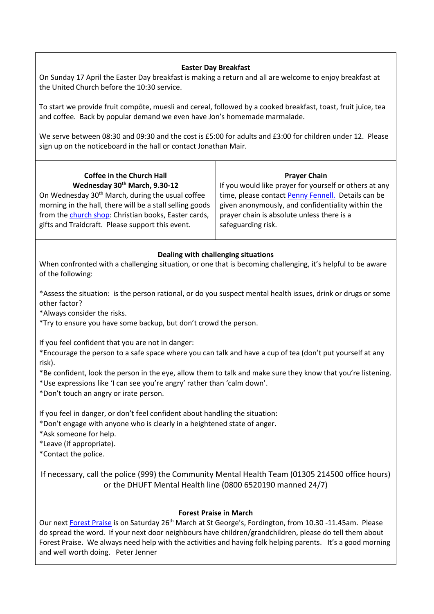#### **Easter Day Breakfast**

On Sunday 17 April the Easter Day breakfast is making a return and all are welcome to enjoy breakfast at the United Church before the 10:30 service.

To start we provide fruit compôte, muesli and cereal, followed by a cooked breakfast, toast, fruit juice, tea and coffee. Back by popular demand we even have Jon's homemade marmalade.

We serve between 08:30 and 09:30 and the cost is £5:00 for adults and £3:00 for children under 12. Please sign up on the noticeboard in the hall or contact Jonathan Mair.

| <b>Coffee in the Church Hall</b>                             |             |
|--------------------------------------------------------------|-------------|
| Wednesday 30th March, 9.30-12                                | $ $ If y    |
| On Wednesday 30 <sup>th</sup> March, during the usual coffee | $\vert$ tin |

morning in the hall, there will be a stall selling goods from th[e church shop:](https://unitedchurchdorchester.org.uk/church-shop.html) Christian books, Easter cards, gifts and Traidcraft. Please support this event.

you would like prayer for yourself or others at any ne, please contac[t Penny Fennell.](https://unitedchurchdorchester.org.uk/contact-one-of-the-team/4-uncategorised/43-prayer-chain.html) Details can be given anonymously, and confidentiality within the prayer chain is absolute unless there is a safeguarding risk.

**Prayer Chain**

#### **Dealing with challenging situations**

When confronted with a challenging situation, or one that is becoming challenging, it's helpful to be aware of the following:

1. \*Assess the situation: is the person rational, or do you suspect mental health issues, drink or drugs or some other factor?

2. \*Always consider the risks.

3. \*Try to ensure you have some backup, but don't crowd the person.

If you feel confident that you are not in danger:

• \*Encourage the person to a safe space where you can talk and have a cup of tea (don't put yourself at any risk).

• \*Be confident, look the person in the eye, allow them to talk and make sure they know that you're listening. • \*Use expressions like 'I can see you're angry' rather than 'calm down'.

• \*Don't touch an angry or irate person.

If you feel in danger, or don't feel confident about handling the situation:

• \*Don't engage with anyone who is clearly in a heightened state of anger.

• \*Ask someone for help.

• \*Leave (if appropriate).

• \*Contact the police.

If necessary, call the police (999) the Community Mental Health Team (01305 214500 office hours) or the DHUFT Mental Health line (0800 6520190 manned 24/7)

#### **Forest Praise in March**

Our nex[t Forest Praise](https://unitedchurchdorchester.org.uk/pdf%20Documents/Forest%20Praise%20Poster%20March%202022.pdf) is on Saturday 26<sup>th</sup> March at St George's, Fordington, from 10.30 -11.45am. Please do spread the word. If your next door neighbours have children/grandchildren, please do tell them about Forest Praise. We always need help with the activities and having folk helping parents. It's a good morning and well worth doing. Peter Jenner